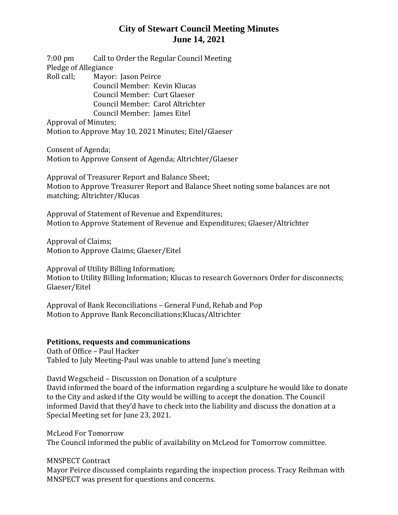7:00 pm Call to Order the Regular Council Meeting Pledge of Allegiance Roll call; Mayor: Jason Peirce Council Member: Kevin Klucas Council Member: Curt Glaeser Council Member: Carol Altrichter Council Member: James Eitel

Approval of Minutes; Motion to Approve May 10, 2021 Minutes; Eitel/Glaeser

Consent of Agenda; Motion to Approve Consent of Agenda; Altrichter/Glaeser

Approval of Treasurer Report and Balance Sheet; Motion to Approve Treasurer Report and Balance Sheet noting some balances are not matching; Altrichter/Klucas

Approval of Statement of Revenue and Expenditures; Motion to Approve Statement of Revenue and Expenditures; Glaeser/Altrichter

Approval of Claims; Motion to Approve Claims; Glaeser/Eitel

Approval of Utility Billing Information; Motion to Utility Billing Information; Klucas to research Governors Order for disconnects; Glaeser/Eitel

Approval of Bank Reconciliations – General Fund, Rehab and Pop Motion to Approve Bank Reconciliations;Klucas/Altrichter

#### **Petitions, requests and communications**

Oath of Office – Paul Hacker Tabled to July Meeting-Paul was unable to attend June's meeting

David Wegscheid – Discussion on Donation of a sculpture David informed the board of the information regarding a sculpture he would like to donate to the City and asked if the City would be willing to accept the donation. The Council informed David that they'd have to check into the liability and discuss the donation at a Special Meeting set for June 23, 2021.

McLeod For Tomorrow The Council informed the public of availability on McLeod for Tomorrow committee.

MNSPECT Contract

Mayor Peirce discussed complaints regarding the inspection process. Tracy Reihman with MNSPECT was present for questions and concerns.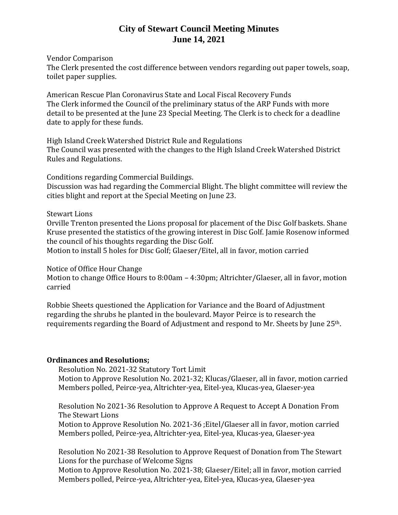Vendor Comparison

The Clerk presented the cost difference between vendors regarding out paper towels, soap, toilet paper supplies.

American Rescue Plan Coronavirus State and Local Fiscal Recovery Funds The Clerk informed the Council of the preliminary status of the ARP Funds with more detail to be presented at the June 23 Special Meeting. The Clerk is to check for a deadline date to apply for these funds.

High Island Creek Watershed District Rule and Regulations The Council was presented with the changes to the High Island Creek Watershed District Rules and Regulations.

Conditions regarding Commercial Buildings.

Discussion was had regarding the Commercial Blight. The blight committee will review the cities blight and report at the Special Meeting on June 23.

#### Stewart Lions

Orville Trenton presented the Lions proposal for placement of the Disc Golf baskets. Shane Kruse presented the statistics of the growing interest in Disc Golf. Jamie Rosenow informed the council of his thoughts regarding the Disc Golf.

Motion to install 5 holes for Disc Golf; Glaeser/Eitel, all in favor, motion carried

Notice of Office Hour Change

Motion to change Office Hours to 8:00am – 4:30pm; Altrichter/Glaeser, all in favor, motion carried

Robbie Sheets questioned the Application for Variance and the Board of Adjustment regarding the shrubs he planted in the boulevard. Mayor Peirce is to research the requirements regarding the Board of Adjustment and respond to Mr. Sheets by June 25th.

#### **Ordinances and Resolutions;**

Resolution No. 2021-32 Statutory Tort Limit Motion to Approve Resolution No. 2021-32; Klucas/Glaeser, all in favor, motion carried Members polled, Peirce-yea, Altrichter-yea, Eitel-yea, Klucas-yea, Glaeser-yea

Resolution No 2021-36 Resolution to Approve A Request to Accept A Donation From The Stewart Lions

Motion to Approve Resolution No. 2021-36 ;Eitel/Glaeser all in favor, motion carried Members polled, Peirce-yea, Altrichter-yea, Eitel-yea, Klucas-yea, Glaeser-yea

Resolution No 2021-38 Resolution to Approve Request of Donation from The Stewart Lions for the purchase of Welcome Signs

Motion to Approve Resolution No. 2021-38; Glaeser/Eitel; all in favor, motion carried Members polled, Peirce-yea, Altrichter-yea, Eitel-yea, Klucas-yea, Glaeser-yea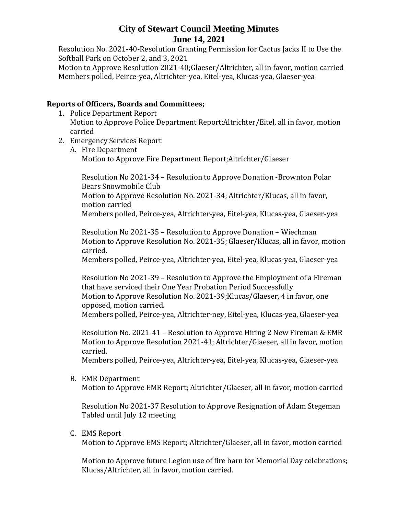Resolution No. 2021-40-Resolution Granting Permission for Cactus Jacks II to Use the Softball Park on October 2, and 3, 2021

Motion to Approve Resolution 2021-40;Glaeser/Altrichter, all in favor, motion carried Members polled, Peirce-yea, Altrichter-yea, Eitel-yea, Klucas-yea, Glaeser-yea

### **Reports of Officers, Boards and Committees;**

- 1. Police Department Report Motion to Approve Police Department Report;Altrichter/Eitel, all in favor, motion carried
- 2. Emergency Services Report
	- A. Fire Department Motion to Approve Fire Department Report;Altrichter/Glaeser

Resolution No 2021-34 – Resolution to Approve Donation -Brownton Polar Bears Snowmobile Club Motion to Approve Resolution No. 2021-34; Altrichter/Klucas, all in favor, motion carried Members polled, Peirce-yea, Altrichter-yea, Eitel-yea, Klucas-yea, Glaeser-yea

Resolution No 2021-35 – Resolution to Approve Donation – Wiechman Motion to Approve Resolution No. 2021-35; Glaeser/Klucas, all in favor, motion carried.

Members polled, Peirce-yea, Altrichter-yea, Eitel-yea, Klucas-yea, Glaeser-yea

Resolution No 2021-39 – Resolution to Approve the Employment of a Fireman that have serviced their One Year Probation Period Successfully Motion to Approve Resolution No. 2021-39;Klucas/Glaeser, 4 in favor, one opposed, motion carried.

Members polled, Peirce-yea, Altrichter-ney, Eitel-yea, Klucas-yea, Glaeser-yea

Resolution No. 2021-41 – Resolution to Approve Hiring 2 New Fireman & EMR Motion to Approve Resolution 2021-41; Altrichter/Glaeser, all in favor, motion carried.

Members polled, Peirce-yea, Altrichter-yea, Eitel-yea, Klucas-yea, Glaeser-yea

B. EMR Department

Motion to Approve EMR Report; Altrichter/Glaeser, all in favor, motion carried

Resolution No 2021-37 Resolution to Approve Resignation of Adam Stegeman Tabled until July 12 meeting

C. EMS Report

Motion to Approve EMS Report; Altrichter/Glaeser, all in favor, motion carried

Motion to Approve future Legion use of fire barn for Memorial Day celebrations; Klucas/Altrichter, all in favor, motion carried.